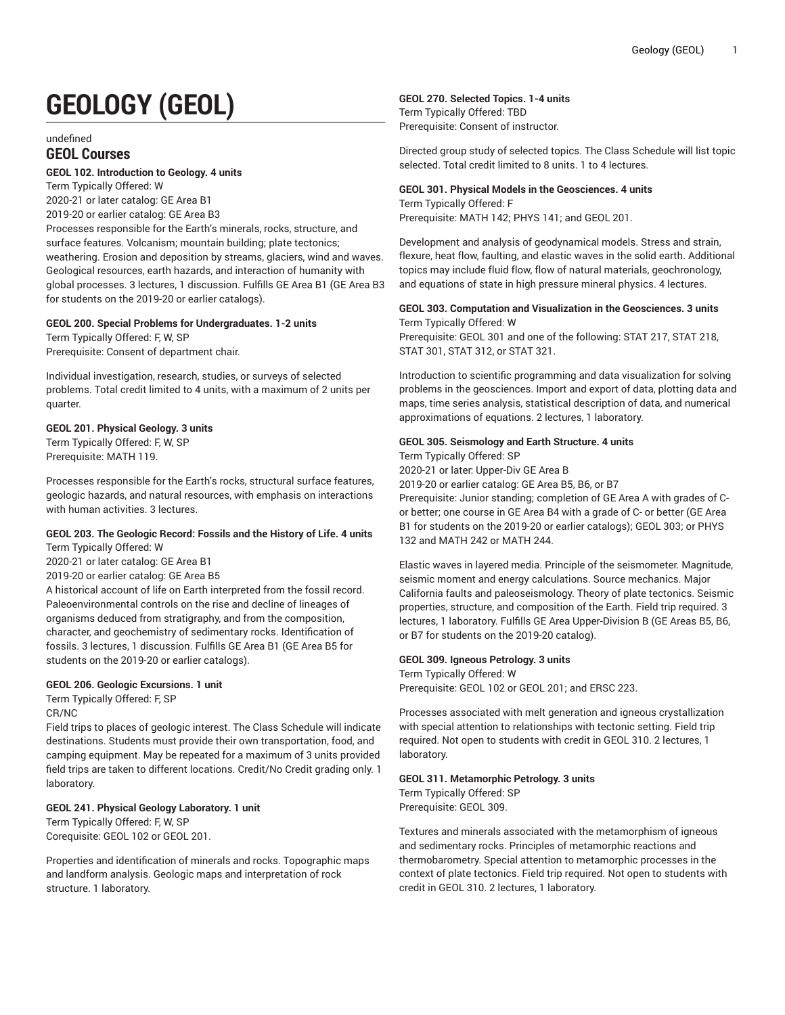# **GEOLOGY (GEOL)**

undefined

# **GEOL Courses**

## **GEOL 102. Introduction to Geology. 4 units**

Term Typically Offered: W 2020-21 or later catalog: GE Area B1

2019-20 or earlier catalog: GE Area B3

Processes responsible for the Earth's minerals, rocks, structure, and surface features. Volcanism; mountain building; plate tectonics; weathering. Erosion and deposition by streams, glaciers, wind and waves. Geological resources, earth hazards, and interaction of humanity with global processes. 3 lectures, 1 discussion. Fulfills GE Area B1 (GE Area B3 for students on the 2019-20 or earlier catalogs).

#### **GEOL 200. Special Problems for Undergraduates. 1-2 units**

Term Typically Offered: F, W, SP Prerequisite: Consent of department chair.

Individual investigation, research, studies, or surveys of selected problems. Total credit limited to 4 units, with a maximum of 2 units per quarter.

## **GEOL 201. Physical Geology. 3 units**

Term Typically Offered: F, W, SP Prerequisite: MATH 119.

Processes responsible for the Earth's rocks, structural surface features, geologic hazards, and natural resources, with emphasis on interactions with human activities. 3 lectures.

#### **GEOL 203. The Geologic Record: Fossils and the History of Life. 4 units** Term Typically Offered: W

2020-21 or later catalog: GE Area B1

2019-20 or earlier catalog: GE Area B5

A historical account of life on Earth interpreted from the fossil record. Paleoenvironmental controls on the rise and decline of lineages of organisms deduced from stratigraphy, and from the composition, character, and geochemistry of sedimentary rocks. Identification of fossils. 3 lectures, 1 discussion. Fulfills GE Area B1 (GE Area B5 for students on the 2019-20 or earlier catalogs).

# **GEOL 206. Geologic Excursions. 1 unit**

Term Typically Offered: F, SP CR/NC

Field trips to places of geologic interest. The Class Schedule will indicate destinations. Students must provide their own transportation, food, and camping equipment. May be repeated for a maximum of 3 units provided field trips are taken to different locations. Credit/No Credit grading only. 1 laboratory.

# **GEOL 241. Physical Geology Laboratory. 1 unit**

Term Typically Offered: F, W, SP Corequisite: GEOL 102 or GEOL 201.

Properties and identification of minerals and rocks. Topographic maps and landform analysis. Geologic maps and interpretation of rock structure. 1 laboratory.

# **GEOL 270. Selected Topics. 1-4 units**

Term Typically Offered: TBD Prerequisite: Consent of instructor.

Directed group study of selected topics. The Class Schedule will list topic selected. Total credit limited to 8 units. 1 to 4 lectures.

# **GEOL 301. Physical Models in the Geosciences. 4 units**

Term Typically Offered: F Prerequisite: MATH 142; PHYS 141; and GEOL 201.

Development and analysis of geodynamical models. Stress and strain, flexure, heat flow, faulting, and elastic waves in the solid earth. Additional topics may include fluid flow, flow of natural materials, geochronology, and equations of state in high pressure mineral physics. 4 lectures.

# **GEOL 303. Computation and Visualization in the Geosciences. 3 units**

Term Typically Offered: W Prerequisite: GEOL 301 and one of the following: STAT 217, STAT 218, STAT 301, STAT 312, or STAT 321.

Introduction to scientific programming and data visualization for solving problems in the geosciences. Import and export of data, plotting data and maps, time series analysis, statistical description of data, and numerical approximations of equations. 2 lectures, 1 laboratory.

#### **GEOL 305. Seismology and Earth Structure. 4 units** Term Typically Offered: SP

2020-21 or later: Upper-Div GE Area B

2019-20 or earlier catalog: GE Area B5, B6, or B7

Prerequisite: Junior standing; completion of GE Area A with grades of Cor better; one course in GE Area B4 with a grade of C- or better (GE Area B1 for students on the 2019-20 or earlier catalogs); GEOL 303; or PHYS 132 and MATH 242 or MATH 244.

Elastic waves in layered media. Principle of the seismometer. Magnitude, seismic moment and energy calculations. Source mechanics. Major California faults and paleoseismology. Theory of plate tectonics. Seismic properties, structure, and composition of the Earth. Field trip required. 3 lectures, 1 laboratory. Fulfills GE Area Upper-Division B (GE Areas B5, B6, or B7 for students on the 2019-20 catalog).

#### **GEOL 309. Igneous Petrology. 3 units**

Term Typically Offered: W Prerequisite: GEOL 102 or GEOL 201; and ERSC 223.

Processes associated with melt generation and igneous crystallization with special attention to relationships with tectonic setting. Field trip required. Not open to students with credit in GEOL 310. 2 lectures, 1 laboratory.

#### **GEOL 311. Metamorphic Petrology. 3 units**

Term Typically Offered: SP Prerequisite: GEOL 309.

Textures and minerals associated with the metamorphism of igneous and sedimentary rocks. Principles of metamorphic reactions and thermobarometry. Special attention to metamorphic processes in the context of plate tectonics. Field trip required. Not open to students with credit in GEOL 310. 2 lectures, 1 laboratory.